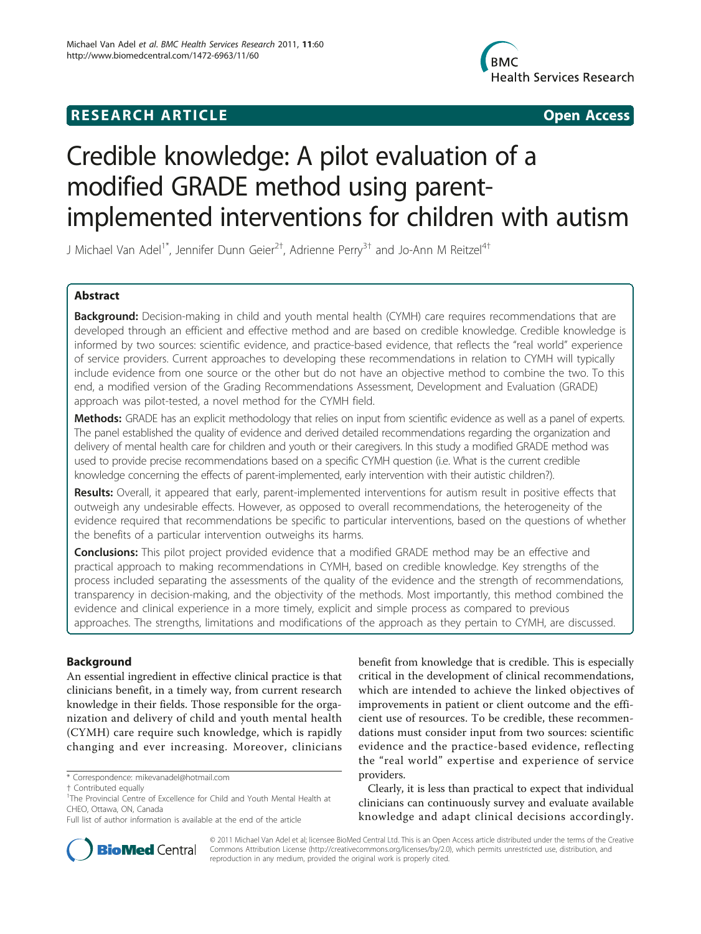# **RESEARCH ARTICLE Example 2014 CONSUMING ACCESS**



# Credible knowledge: A pilot evaluation of a modified GRADE method using parentimplemented interventions for children with autism

J Michael Van Adel<sup>1\*</sup>, Jennifer Dunn Geier<sup>2†</sup>, Adrienne Perry<sup>3†</sup> and Jo-Ann M Reitzel<sup>4†</sup>

# Abstract

Background: Decision-making in child and youth mental health (CYMH) care requires recommendations that are developed through an efficient and effective method and are based on credible knowledge. Credible knowledge is informed by two sources: scientific evidence, and practice-based evidence, that reflects the "real world" experience of service providers. Current approaches to developing these recommendations in relation to CYMH will typically include evidence from one source or the other but do not have an objective method to combine the two. To this end, a modified version of the Grading Recommendations Assessment, Development and Evaluation (GRADE) approach was pilot-tested, a novel method for the CYMH field.

Methods: GRADE has an explicit methodology that relies on input from scientific evidence as well as a panel of experts. The panel established the quality of evidence and derived detailed recommendations regarding the organization and delivery of mental health care for children and youth or their caregivers. In this study a modified GRADE method was used to provide precise recommendations based on a specific CYMH question (i.e. What is the current credible knowledge concerning the effects of parent-implemented, early intervention with their autistic children?).

Results: Overall, it appeared that early, parent-implemented interventions for autism result in positive effects that outweigh any undesirable effects. However, as opposed to overall recommendations, the heterogeneity of the evidence required that recommendations be specific to particular interventions, based on the questions of whether the benefits of a particular intervention outweighs its harms.

**Conclusions:** This pilot project provided evidence that a modified GRADE method may be an effective and practical approach to making recommendations in CYMH, based on credible knowledge. Key strengths of the process included separating the assessments of the quality of the evidence and the strength of recommendations, transparency in decision-making, and the objectivity of the methods. Most importantly, this method combined the evidence and clinical experience in a more timely, explicit and simple process as compared to previous approaches. The strengths, limitations and modifications of the approach as they pertain to CYMH, are discussed.

# Background

An essential ingredient in effective clinical practice is that clinicians benefit, in a timely way, from current research knowledge in their fields. Those responsible for the organization and delivery of child and youth mental health (CYMH) care require such knowledge, which is rapidly changing and ever increasing. Moreover, clinicians

\* Correspondence: [mikevanadel@hotmail.com](mailto:mikevanadel@hotmail.com)

benefit from knowledge that is credible. This is especially critical in the development of clinical recommendations, which are intended to achieve the linked objectives of improvements in patient or client outcome and the efficient use of resources. To be credible, these recommendations must consider input from two sources: scientific evidence and the practice-based evidence, reflecting the "real world" expertise and experience of service providers.

Clearly, it is less than practical to expect that individual clinicians can continuously survey and evaluate available knowledge and adapt clinical decisions accordingly.



© 2011 Michael Van Adel et al; licensee BioMed Central Ltd. This is an Open Access article distributed under the terms of the Creative Commons Attribution License [\(http://creativecommons.org/licenses/by/2.0](http://creativecommons.org/licenses/by/2.0)), which permits unrestricted use, distribution, and reproduction in any medium, provided the original work is properly cited.

<sup>†</sup> Contributed equally <sup>1</sup>

<sup>&</sup>lt;sup>1</sup>The Provincial Centre of Excellence for Child and Youth Mental Health at CHEO, Ottawa, ON, Canada

Full list of author information is available at the end of the article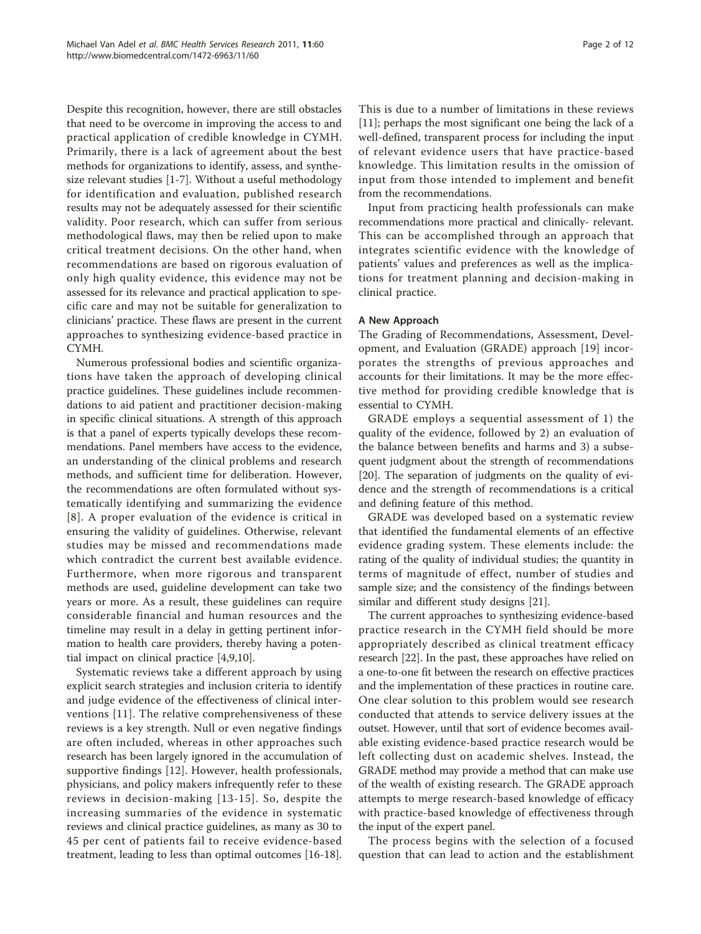Despite this recognition, however, there are still obstacles that need to be overcome in improving the access to and practical application of credible knowledge in CYMH. Primarily, there is a lack of agreement about the best methods for organizations to identify, assess, and synthesize relevant studies [\[1-7\]](#page-10-0). Without a useful methodology for identification and evaluation, published research results may not be adequately assessed for their scientific validity. Poor research, which can suffer from serious methodological flaws, may then be relied upon to make critical treatment decisions. On the other hand, when recommendations are based on rigorous evaluation of only high quality evidence, this evidence may not be assessed for its relevance and practical application to specific care and may not be suitable for generalization to clinicians' practice. These flaws are present in the current approaches to synthesizing evidence-based practice in CYMH.

Numerous professional bodies and scientific organizations have taken the approach of developing clinical practice guidelines. These guidelines include recommendations to aid patient and practitioner decision-making in specific clinical situations. A strength of this approach is that a panel of experts typically develops these recommendations. Panel members have access to the evidence, an understanding of the clinical problems and research methods, and sufficient time for deliberation. However, the recommendations are often formulated without systematically identifying and summarizing the evidence [[8](#page-10-0)]. A proper evaluation of the evidence is critical in ensuring the validity of guidelines. Otherwise, relevant studies may be missed and recommendations made which contradict the current best available evidence. Furthermore, when more rigorous and transparent methods are used, guideline development can take two years or more. As a result, these guidelines can require considerable financial and human resources and the timeline may result in a delay in getting pertinent information to health care providers, thereby having a potential impact on clinical practice [[4,9,10](#page-10-0)].

Systematic reviews take a different approach by using explicit search strategies and inclusion criteria to identify and judge evidence of the effectiveness of clinical interventions [[11](#page-10-0)]. The relative comprehensiveness of these reviews is a key strength. Null or even negative findings are often included, whereas in other approaches such research has been largely ignored in the accumulation of supportive findings [[12\]](#page-10-0). However, health professionals, physicians, and policy makers infrequently refer to these reviews in decision-making [[13-15\]](#page-10-0). So, despite the increasing summaries of the evidence in systematic reviews and clinical practice guidelines, as many as 30 to 45 per cent of patients fail to receive evidence-based treatment, leading to less than optimal outcomes [\[16-18](#page-10-0)].

This is due to a number of limitations in these reviews [[11\]](#page-10-0); perhaps the most significant one being the lack of a well-defined, transparent process for including the input of relevant evidence users that have practice-based knowledge. This limitation results in the omission of input from those intended to implement and benefit from the recommendations.

Input from practicing health professionals can make recommendations more practical and clinically- relevant. This can be accomplished through an approach that integrates scientific evidence with the knowledge of patients' values and preferences as well as the implications for treatment planning and decision-making in clinical practice.

### A New Approach

The Grading of Recommendations, Assessment, Development, and Evaluation (GRADE) approach [[19\]](#page-10-0) incorporates the strengths of previous approaches and accounts for their limitations. It may be the more effective method for providing credible knowledge that is essential to CYMH.

GRADE employs a sequential assessment of 1) the quality of the evidence, followed by 2) an evaluation of the balance between benefits and harms and 3) a subsequent judgment about the strength of recommendations [[20\]](#page-10-0). The separation of judgments on the quality of evidence and the strength of recommendations is a critical and defining feature of this method.

GRADE was developed based on a systematic review that identified the fundamental elements of an effective evidence grading system. These elements include: the rating of the quality of individual studies; the quantity in terms of magnitude of effect, number of studies and sample size; and the consistency of the findings between similar and different study designs [\[21](#page-10-0)].

The current approaches to synthesizing evidence-based practice research in the CYMH field should be more appropriately described as clinical treatment efficacy research [\[22\]](#page-10-0). In the past, these approaches have relied on a one-to-one fit between the research on effective practices and the implementation of these practices in routine care. One clear solution to this problem would see research conducted that attends to service delivery issues at the outset. However, until that sort of evidence becomes available existing evidence-based practice research would be left collecting dust on academic shelves. Instead, the GRADE method may provide a method that can make use of the wealth of existing research. The GRADE approach attempts to merge research-based knowledge of efficacy with practice-based knowledge of effectiveness through the input of the expert panel.

The process begins with the selection of a focused question that can lead to action and the establishment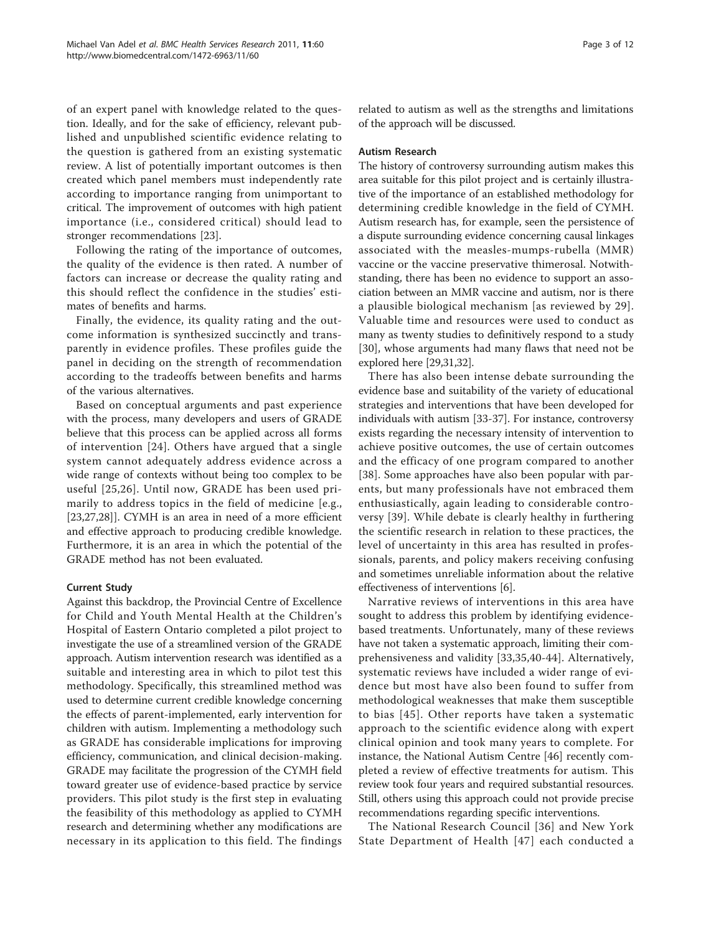of an expert panel with knowledge related to the question. Ideally, and for the sake of efficiency, relevant published and unpublished scientific evidence relating to the question is gathered from an existing systematic review. A list of potentially important outcomes is then created which panel members must independently rate according to importance ranging from unimportant to critical. The improvement of outcomes with high patient importance (i.e., considered critical) should lead to stronger recommendations [\[23\]](#page-10-0).

Following the rating of the importance of outcomes, the quality of the evidence is then rated. A number of factors can increase or decrease the quality rating and this should reflect the confidence in the studies' estimates of benefits and harms.

Finally, the evidence, its quality rating and the outcome information is synthesized succinctly and transparently in evidence profiles. These profiles guide the panel in deciding on the strength of recommendation according to the tradeoffs between benefits and harms of the various alternatives.

Based on conceptual arguments and past experience with the process, many developers and users of GRADE believe that this process can be applied across all forms of intervention [\[24\]](#page-10-0). Others have argued that a single system cannot adequately address evidence across a wide range of contexts without being too complex to be useful [[25,26\]](#page-10-0). Until now, GRADE has been used primarily to address topics in the field of medicine [e.g., [[23,27,28](#page-10-0)]]. CYMH is an area in need of a more efficient and effective approach to producing credible knowledge. Furthermore, it is an area in which the potential of the GRADE method has not been evaluated.

#### Current Study

Against this backdrop, the Provincial Centre of Excellence for Child and Youth Mental Health at the Children's Hospital of Eastern Ontario completed a pilot project to investigate the use of a streamlined version of the GRADE approach. Autism intervention research was identified as a suitable and interesting area in which to pilot test this methodology. Specifically, this streamlined method was used to determine current credible knowledge concerning the effects of parent-implemented, early intervention for children with autism. Implementing a methodology such as GRADE has considerable implications for improving efficiency, communication, and clinical decision-making. GRADE may facilitate the progression of the CYMH field toward greater use of evidence-based practice by service providers. This pilot study is the first step in evaluating the feasibility of this methodology as applied to CYMH research and determining whether any modifications are necessary in its application to this field. The findings related to autism as well as the strengths and limitations of the approach will be discussed.

#### Autism Research

The history of controversy surrounding autism makes this area suitable for this pilot project and is certainly illustrative of the importance of an established methodology for determining credible knowledge in the field of CYMH. Autism research has, for example, seen the persistence of a dispute surrounding evidence concerning causal linkages associated with the measles-mumps-rubella (MMR) vaccine or the vaccine preservative thimerosal. Notwithstanding, there has been no evidence to support an association between an MMR vaccine and autism, nor is there a plausible biological mechanism [as reviewed by 29]. Valuable time and resources were used to conduct as many as twenty studies to definitively respond to a study [[30\]](#page-10-0), whose arguments had many flaws that need not be explored here [\[29,31,32\]](#page-10-0).

There has also been intense debate surrounding the evidence base and suitability of the variety of educational strategies and interventions that have been developed for individuals with autism [\[33-37](#page-10-0)]. For instance, controversy exists regarding the necessary intensity of intervention to achieve positive outcomes, the use of certain outcomes and the efficacy of one program compared to another [[38\]](#page-10-0). Some approaches have also been popular with parents, but many professionals have not embraced them enthusiastically, again leading to considerable controversy [[39\]](#page-10-0). While debate is clearly healthy in furthering the scientific research in relation to these practices, the level of uncertainty in this area has resulted in professionals, parents, and policy makers receiving confusing and sometimes unreliable information about the relative effectiveness of interventions [[6\]](#page-10-0).

Narrative reviews of interventions in this area have sought to address this problem by identifying evidencebased treatments. Unfortunately, many of these reviews have not taken a systematic approach, limiting their comprehensiveness and validity [\[33,35,40](#page-10-0)-[44](#page-10-0)]. Alternatively, systematic reviews have included a wider range of evidence but most have also been found to suffer from methodological weaknesses that make them susceptible to bias [[45\]](#page-10-0). Other reports have taken a systematic approach to the scientific evidence along with expert clinical opinion and took many years to complete. For instance, the National Autism Centre [\[46](#page-10-0)] recently completed a review of effective treatments for autism. This review took four years and required substantial resources. Still, others using this approach could not provide precise recommendations regarding specific interventions.

The National Research Council [[36](#page-10-0)] and New York State Department of Health [[47\]](#page-10-0) each conducted a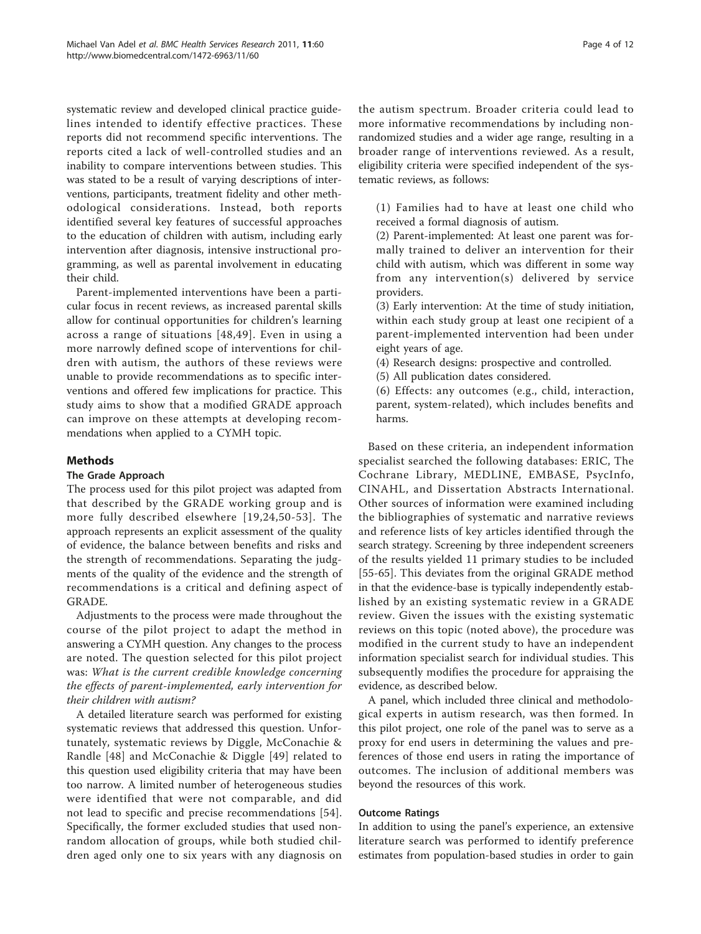systematic review and developed clinical practice guidelines intended to identify effective practices. These reports did not recommend specific interventions. The reports cited a lack of well-controlled studies and an inability to compare interventions between studies. This was stated to be a result of varying descriptions of interventions, participants, treatment fidelity and other methodological considerations. Instead, both reports identified several key features of successful approaches to the education of children with autism, including early intervention after diagnosis, intensive instructional programming, as well as parental involvement in educating their child.

Parent-implemented interventions have been a particular focus in recent reviews, as increased parental skills allow for continual opportunities for children's learning across a range of situations [[48](#page-10-0),[49](#page-11-0)]. Even in using a more narrowly defined scope of interventions for children with autism, the authors of these reviews were unable to provide recommendations as to specific interventions and offered few implications for practice. This study aims to show that a modified GRADE approach can improve on these attempts at developing recommendations when applied to a CYMH topic.

# Methods

# The Grade Approach

The process used for this pilot project was adapted from that described by the GRADE working group and is more fully described elsewhere [[19,24](#page-10-0),[50-53](#page-11-0)]. The approach represents an explicit assessment of the quality of evidence, the balance between benefits and risks and the strength of recommendations. Separating the judgments of the quality of the evidence and the strength of recommendations is a critical and defining aspect of GRADE.

Adjustments to the process were made throughout the course of the pilot project to adapt the method in answering a CYMH question. Any changes to the process are noted. The question selected for this pilot project was: What is the current credible knowledge concerning the effects of parent-implemented, early intervention for their children with autism?

A detailed literature search was performed for existing systematic reviews that addressed this question. Unfortunately, systematic reviews by Diggle, McConachie & Randle [[48](#page-10-0)] and McConachie & Diggle [[49](#page-11-0)] related to this question used eligibility criteria that may have been too narrow. A limited number of heterogeneous studies were identified that were not comparable, and did not lead to specific and precise recommendations [[54](#page-11-0)]. Specifically, the former excluded studies that used nonrandom allocation of groups, while both studied children aged only one to six years with any diagnosis on the autism spectrum. Broader criteria could lead to more informative recommendations by including nonrandomized studies and a wider age range, resulting in a broader range of interventions reviewed. As a result, eligibility criteria were specified independent of the systematic reviews, as follows:

(1) Families had to have at least one child who received a formal diagnosis of autism.

(2) Parent-implemented: At least one parent was formally trained to deliver an intervention for their child with autism, which was different in some way from any intervention(s) delivered by service providers.

(3) Early intervention: At the time of study initiation, within each study group at least one recipient of a parent-implemented intervention had been under eight years of age.

(4) Research designs: prospective and controlled.

(5) All publication dates considered.

(6) Effects: any outcomes (e.g., child, interaction, parent, system-related), which includes benefits and harms.

Based on these criteria, an independent information specialist searched the following databases: ERIC, The Cochrane Library, MEDLINE, EMBASE, PsycInfo, CINAHL, and Dissertation Abstracts International. Other sources of information were examined including the bibliographies of systematic and narrative reviews and reference lists of key articles identified through the search strategy. Screening by three independent screeners of the results yielded 11 primary studies to be included [[55-65\]](#page-11-0). This deviates from the original GRADE method in that the evidence-base is typically independently established by an existing systematic review in a GRADE review. Given the issues with the existing systematic reviews on this topic (noted above), the procedure was modified in the current study to have an independent information specialist search for individual studies. This subsequently modifies the procedure for appraising the evidence, as described below.

A panel, which included three clinical and methodological experts in autism research, was then formed. In this pilot project, one role of the panel was to serve as a proxy for end users in determining the values and preferences of those end users in rating the importance of outcomes. The inclusion of additional members was beyond the resources of this work.

# Outcome Ratings

In addition to using the panel's experience, an extensive literature search was performed to identify preference estimates from population-based studies in order to gain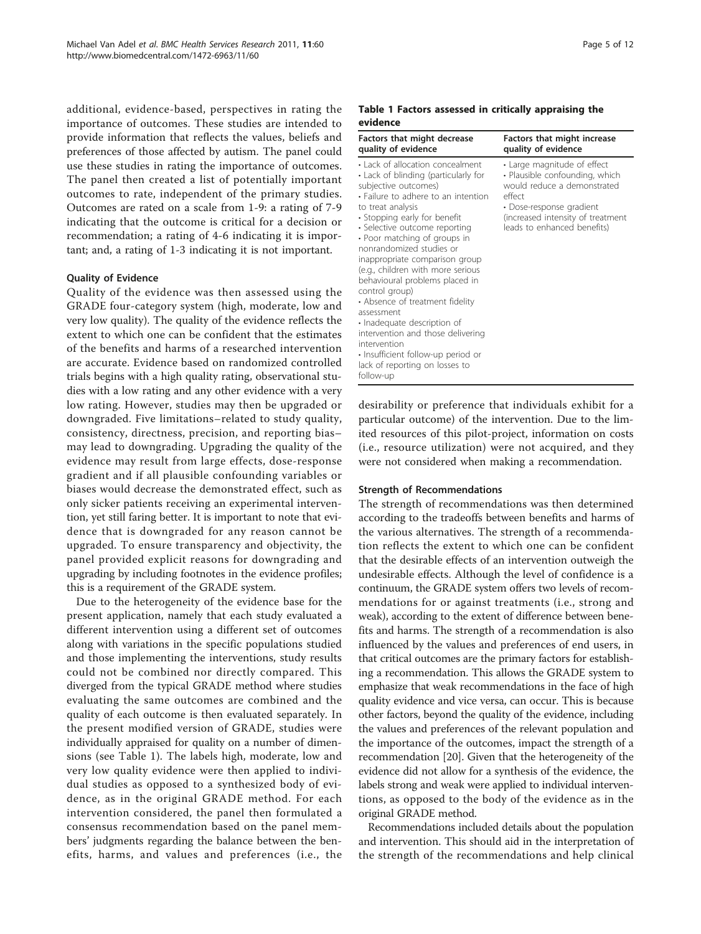additional, evidence-based, perspectives in rating the importance of outcomes. These studies are intended to provide information that reflects the values, beliefs and preferences of those affected by autism. The panel could use these studies in rating the importance of outcomes. The panel then created a list of potentially important outcomes to rate, independent of the primary studies. Outcomes are rated on a scale from 1-9: a rating of 7-9 indicating that the outcome is critical for a decision or recommendation; a rating of 4-6 indicating it is important; and, a rating of 1-3 indicating it is not important.

#### Quality of Evidence

Quality of the evidence was then assessed using the GRADE four-category system (high, moderate, low and very low quality). The quality of the evidence reflects the extent to which one can be confident that the estimates of the benefits and harms of a researched intervention are accurate. Evidence based on randomized controlled trials begins with a high quality rating, observational studies with a low rating and any other evidence with a very low rating. However, studies may then be upgraded or downgraded. Five limitations–related to study quality, consistency, directness, precision, and reporting bias– may lead to downgrading. Upgrading the quality of the evidence may result from large effects, dose-response gradient and if all plausible confounding variables or biases would decrease the demonstrated effect, such as only sicker patients receiving an experimental intervention, yet still faring better. It is important to note that evidence that is downgraded for any reason cannot be upgraded. To ensure transparency and objectivity, the panel provided explicit reasons for downgrading and upgrading by including footnotes in the evidence profiles; this is a requirement of the GRADE system.

Due to the heterogeneity of the evidence base for the present application, namely that each study evaluated a different intervention using a different set of outcomes along with variations in the specific populations studied and those implementing the interventions, study results could not be combined nor directly compared. This diverged from the typical GRADE method where studies evaluating the same outcomes are combined and the quality of each outcome is then evaluated separately. In the present modified version of GRADE, studies were individually appraised for quality on a number of dimensions (see Table 1). The labels high, moderate, low and very low quality evidence were then applied to individual studies as opposed to a synthesized body of evidence, as in the original GRADE method. For each intervention considered, the panel then formulated a consensus recommendation based on the panel members' judgments regarding the balance between the benefits, harms, and values and preferences (i.e., the

#### Table 1 Factors assessed in critically appraising the evidence

| Factors that might decrease                                                                                                                                                                                                                                                                                                                                                                                                                                                                                                                                                                                                                    | Factors that might increase                                                                                                                                                                            |
|------------------------------------------------------------------------------------------------------------------------------------------------------------------------------------------------------------------------------------------------------------------------------------------------------------------------------------------------------------------------------------------------------------------------------------------------------------------------------------------------------------------------------------------------------------------------------------------------------------------------------------------------|--------------------------------------------------------------------------------------------------------------------------------------------------------------------------------------------------------|
| quality of evidence                                                                                                                                                                                                                                                                                                                                                                                                                                                                                                                                                                                                                            | quality of evidence                                                                                                                                                                                    |
| • Lack of allocation concealment<br>• Lack of blinding (particularly for<br>subjective outcomes)<br>• Failure to adhere to an intention<br>to treat analysis<br>• Stopping early for benefit<br>· Selective outcome reporting<br>• Poor matching of groups in<br>nonrandomized studies or<br>inappropriate comparison group<br>(e.g., children with more serious<br>behavioural problems placed in<br>control group)<br>• Absence of treatment fidelity<br>assessment<br>• Inadequate description of<br>intervention and those delivering<br>intervention<br>· Insufficient follow-up period or<br>lack of reporting on losses to<br>follow-up | • Large magnitude of effect<br>• Plausible confounding, which<br>would reduce a demonstrated<br>effect<br>• Dose-response gradient<br>(increased intensity of treatment<br>leads to enhanced benefits) |

desirability or preference that individuals exhibit for a particular outcome) of the intervention. Due to the limited resources of this pilot-project, information on costs (i.e., resource utilization) were not acquired, and they were not considered when making a recommendation.

#### Strength of Recommendations

The strength of recommendations was then determined according to the tradeoffs between benefits and harms of the various alternatives. The strength of a recommendation reflects the extent to which one can be confident that the desirable effects of an intervention outweigh the undesirable effects. Although the level of confidence is a continuum, the GRADE system offers two levels of recommendations for or against treatments (i.e., strong and weak), according to the extent of difference between benefits and harms. The strength of a recommendation is also influenced by the values and preferences of end users, in that critical outcomes are the primary factors for establishing a recommendation. This allows the GRADE system to emphasize that weak recommendations in the face of high quality evidence and vice versa, can occur. This is because other factors, beyond the quality of the evidence, including the values and preferences of the relevant population and the importance of the outcomes, impact the strength of a recommendation [\[20](#page-10-0)]. Given that the heterogeneity of the evidence did not allow for a synthesis of the evidence, the labels strong and weak were applied to individual interventions, as opposed to the body of the evidence as in the original GRADE method.

Recommendations included details about the population and intervention. This should aid in the interpretation of the strength of the recommendations and help clinical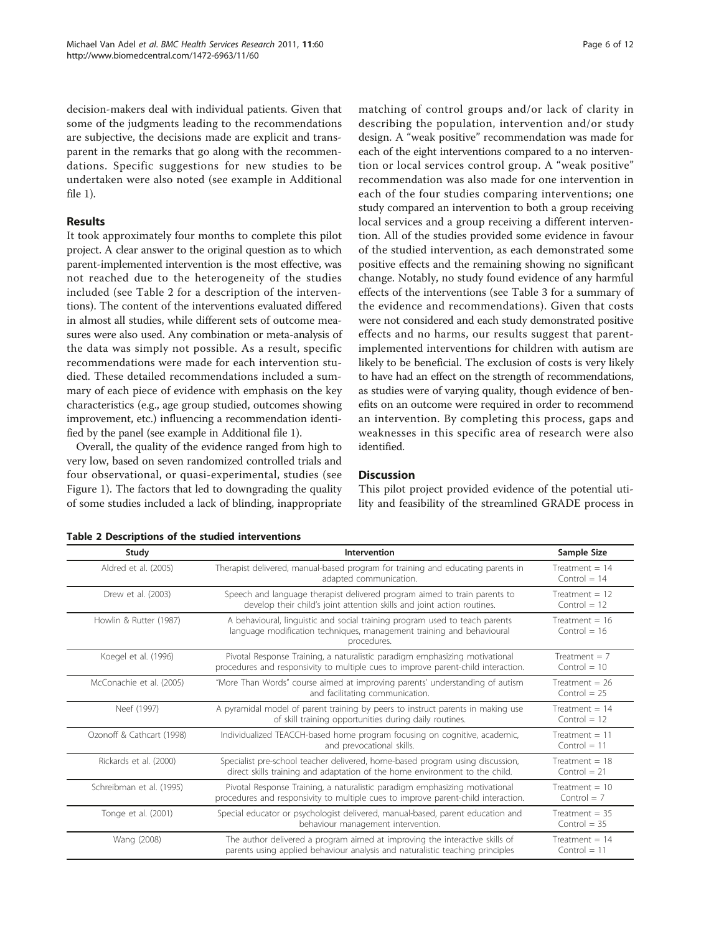decision-makers deal with individual patients. Given that some of the judgments leading to the recommendations are subjective, the decisions made are explicit and transparent in the remarks that go along with the recommendations. Specific suggestions for new studies to be undertaken were also noted (see example in Additional file [1](#page-9-0)).

# Results

It took approximately four months to complete this pilot project. A clear answer to the original question as to which parent-implemented intervention is the most effective, was not reached due to the heterogeneity of the studies included (see Table 2 for a description of the interventions). The content of the interventions evaluated differed in almost all studies, while different sets of outcome measures were also used. Any combination or meta-analysis of the data was simply not possible. As a result, specific recommendations were made for each intervention studied. These detailed recommendations included a summary of each piece of evidence with emphasis on the key characteristics (e.g., age group studied, outcomes showing improvement, etc.) influencing a recommendation identified by the panel (see example in Additional file [1\)](#page-9-0).

Overall, the quality of the evidence ranged from high to very low, based on seven randomized controlled trials and four observational, or quasi-experimental, studies (see Figure [1\)](#page-6-0). The factors that led to downgrading the quality of some studies included a lack of blinding, inappropriate matching of control groups and/or lack of clarity in describing the population, intervention and/or study design. A "weak positive" recommendation was made for each of the eight interventions compared to a no intervention or local services control group. A "weak positive" recommendation was also made for one intervention in each of the four studies comparing interventions; one study compared an intervention to both a group receiving local services and a group receiving a different intervention. All of the studies provided some evidence in favour of the studied intervention, as each demonstrated some positive effects and the remaining showing no significant change. Notably, no study found evidence of any harmful effects of the interventions (see Table [3](#page-7-0) for a summary of the evidence and recommendations). Given that costs were not considered and each study demonstrated positive effects and no harms, our results suggest that parentimplemented interventions for children with autism are likely to be beneficial. The exclusion of costs is very likely to have had an effect on the strength of recommendations, as studies were of varying quality, though evidence of benefits on an outcome were required in order to recommend an intervention. By completing this process, gaps and weaknesses in this specific area of research were also identified.

# **Discussion**

This pilot project provided evidence of the potential utility and feasibility of the streamlined GRADE process in

|  |  |  |  |  |  | Table 2 Descriptions of the studied interventions |
|--|--|--|--|--|--|---------------------------------------------------|
|--|--|--|--|--|--|---------------------------------------------------|

| Study                     | Intervention                                                                                                                                                        | Sample Size                        |
|---------------------------|---------------------------------------------------------------------------------------------------------------------------------------------------------------------|------------------------------------|
| Aldred et al. (2005)      | Therapist delivered, manual-based program for training and educating parents in<br>adapted communication.                                                           | Treatment $= 14$<br>$Control = 14$ |
| Drew et al. (2003)        | Speech and language therapist delivered program aimed to train parents to<br>develop their child's joint attention skills and joint action routines.                | Treatment $= 12$<br>Control $= 12$ |
| Howlin & Rutter (1987)    | A behavioural, linguistic and social training program used to teach parents<br>language modification techniques, management training and behavioural<br>procedures. | Treatment = $16$<br>$Control = 16$ |
| Koegel et al. (1996)      | Pivotal Response Training, a naturalistic paradigm emphasizing motivational<br>procedures and responsivity to multiple cues to improve parent-child interaction.    | Treatment $= 7$<br>Control $= 10$  |
| McConachie et al. (2005)  | "More Than Words" course aimed at improving parents' understanding of autism<br>and facilitating communication.                                                     | Treatment = $26$<br>$Control = 25$ |
| Neef (1997)               | A pyramidal model of parent training by peers to instruct parents in making use<br>of skill training opportunities during daily routines.                           | Treatment $= 14$<br>Control = $12$ |
| Ozonoff & Cathcart (1998) | Individualized TEACCH-based home program focusing on cognitive, academic,<br>and prevocational skills.                                                              | $Treatment = 11$<br>$Control = 11$ |
| Rickards et al. (2000)    | Specialist pre-school teacher delivered, home-based program using discussion,<br>direct skills training and adaptation of the home environment to the child.        | Treatment = $18$<br>$Control = 21$ |
| Schreibman et al. (1995)  | Pivotal Response Training, a naturalistic paradigm emphasizing motivational<br>procedures and responsivity to multiple cues to improve parent-child interaction.    | Treatment = $10$<br>$Control = 7$  |
| Tonge et al. (2001)       | Special educator or psychologist delivered, manual-based, parent education and<br>behaviour management intervention.                                                | Treatment = $35$<br>Control $=$ 35 |
| Wang (2008)               | The author delivered a program aimed at improving the interactive skills of<br>parents using applied behaviour analysis and naturalistic teaching principles        | Treatment $= 14$<br>$Control = 11$ |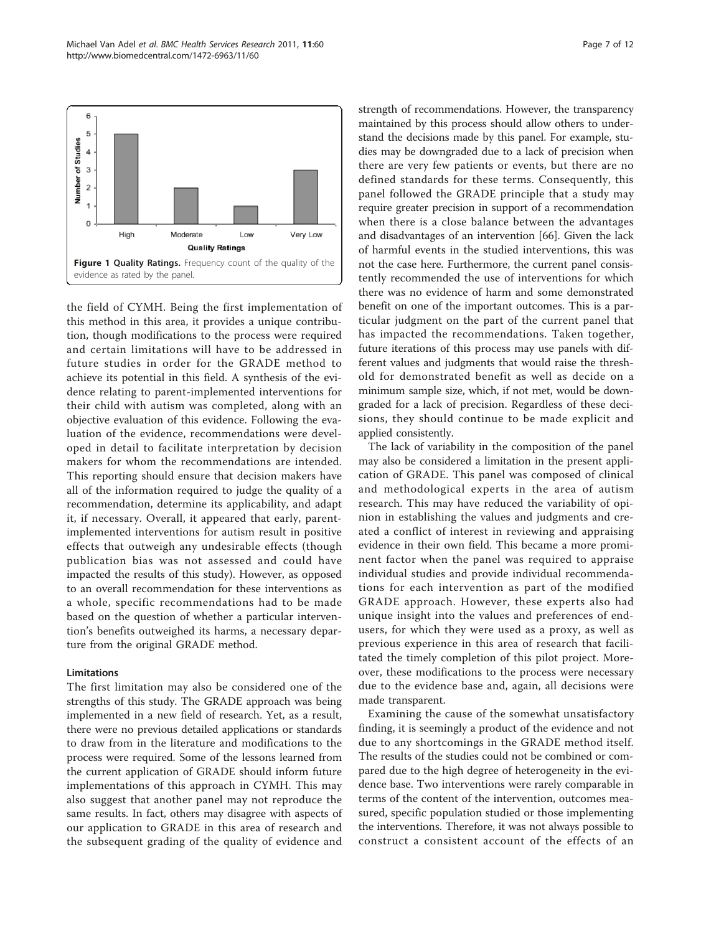<span id="page-6-0"></span>

the field of CYMH. Being the first implementation of this method in this area, it provides a unique contribution, though modifications to the process were required and certain limitations will have to be addressed in future studies in order for the GRADE method to achieve its potential in this field. A synthesis of the evidence relating to parent-implemented interventions for their child with autism was completed, along with an objective evaluation of this evidence. Following the evaluation of the evidence, recommendations were developed in detail to facilitate interpretation by decision makers for whom the recommendations are intended. This reporting should ensure that decision makers have all of the information required to judge the quality of a recommendation, determine its applicability, and adapt it, if necessary. Overall, it appeared that early, parentimplemented interventions for autism result in positive effects that outweigh any undesirable effects (though publication bias was not assessed and could have impacted the results of this study). However, as opposed to an overall recommendation for these interventions as a whole, specific recommendations had to be made based on the question of whether a particular intervention's benefits outweighed its harms, a necessary departure from the original GRADE method.

#### **Limitations**

The first limitation may also be considered one of the strengths of this study. The GRADE approach was being implemented in a new field of research. Yet, as a result, there were no previous detailed applications or standards to draw from in the literature and modifications to the process were required. Some of the lessons learned from the current application of GRADE should inform future implementations of this approach in CYMH. This may also suggest that another panel may not reproduce the same results. In fact, others may disagree with aspects of our application to GRADE in this area of research and the subsequent grading of the quality of evidence and strength of recommendations. However, the transparency maintained by this process should allow others to understand the decisions made by this panel. For example, studies may be downgraded due to a lack of precision when there are very few patients or events, but there are no defined standards for these terms. Consequently, this panel followed the GRADE principle that a study may require greater precision in support of a recommendation when there is a close balance between the advantages and disadvantages of an intervention [\[66\]](#page-11-0). Given the lack of harmful events in the studied interventions, this was not the case here. Furthermore, the current panel consistently recommended the use of interventions for which there was no evidence of harm and some demonstrated benefit on one of the important outcomes. This is a particular judgment on the part of the current panel that has impacted the recommendations. Taken together, future iterations of this process may use panels with different values and judgments that would raise the threshold for demonstrated benefit as well as decide on a minimum sample size, which, if not met, would be downgraded for a lack of precision. Regardless of these decisions, they should continue to be made explicit and applied consistently.

The lack of variability in the composition of the panel may also be considered a limitation in the present application of GRADE. This panel was composed of clinical and methodological experts in the area of autism research. This may have reduced the variability of opinion in establishing the values and judgments and created a conflict of interest in reviewing and appraising evidence in their own field. This became a more prominent factor when the panel was required to appraise individual studies and provide individual recommendations for each intervention as part of the modified GRADE approach. However, these experts also had unique insight into the values and preferences of endusers, for which they were used as a proxy, as well as previous experience in this area of research that facilitated the timely completion of this pilot project. Moreover, these modifications to the process were necessary due to the evidence base and, again, all decisions were made transparent.

Examining the cause of the somewhat unsatisfactory finding, it is seemingly a product of the evidence and not due to any shortcomings in the GRADE method itself. The results of the studies could not be combined or compared due to the high degree of heterogeneity in the evidence base. Two interventions were rarely comparable in terms of the content of the intervention, outcomes measured, specific population studied or those implementing the interventions. Therefore, it was not always possible to construct a consistent account of the effects of an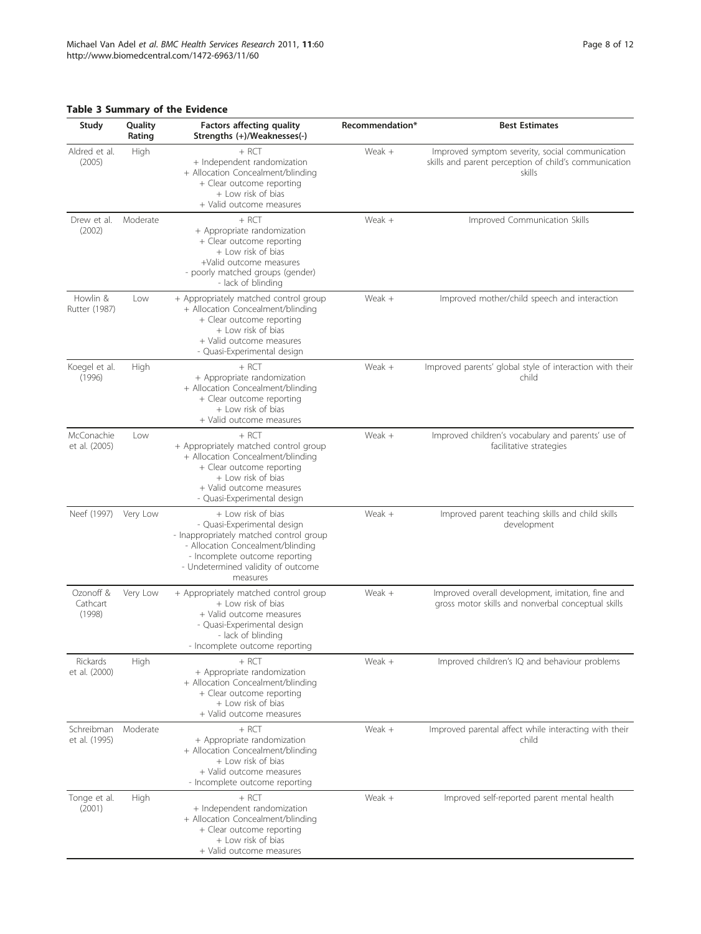# <span id="page-7-0"></span>Table 3 Summary of the Evidence

| Study                           | Quality<br>Rating | <b>Factors affecting quality</b><br>Strengths (+)/Weaknesses(-)                                                                                                                                                       | Recommendation* | <b>Best Estimates</b>                                                                                              |
|---------------------------------|-------------------|-----------------------------------------------------------------------------------------------------------------------------------------------------------------------------------------------------------------------|-----------------|--------------------------------------------------------------------------------------------------------------------|
| Aldred et al.<br>(2005)         | High              | $+$ RCT<br>+ Independent randomization<br>+ Allocation Concealment/blinding<br>+ Clear outcome reporting<br>+ Low risk of bias<br>+ Valid outcome measures                                                            | Weak $+$        | Improved symptom severity, social communication<br>skills and parent perception of child's communication<br>skills |
| Drew et al.<br>(2002)           | Moderate          | $+$ RCT<br>+ Appropriate randomization<br>+ Clear outcome reporting<br>+ Low risk of bias<br>+Valid outcome measures<br>- poorly matched groups (gender)<br>- lack of blinding                                        | Weak $+$        | Improved Communication Skills                                                                                      |
| Howlin &<br>Rutter (1987)       | Low               | + Appropriately matched control group<br>+ Allocation Concealment/blinding<br>+ Clear outcome reporting<br>+ Low risk of bias<br>+ Valid outcome measures<br>- Quasi-Experimental design                              | Weak $+$        | Improved mother/child speech and interaction                                                                       |
| Koegel et al.<br>(1996)         | High              | $+$ RCT<br>+ Appropriate randomization<br>+ Allocation Concealment/blinding<br>+ Clear outcome reporting<br>+ Low risk of bias<br>+ Valid outcome measures                                                            | Weak $+$        | Improved parents' global style of interaction with their<br>child                                                  |
| McConachie<br>et al. (2005)     | Low               | $+$ RCT<br>+ Appropriately matched control group<br>+ Allocation Concealment/blinding<br>+ Clear outcome reporting<br>+ Low risk of bias<br>+ Valid outcome measures<br>- Quasi-Experimental design                   | Weak $+$        | Improved children's vocabulary and parents' use of<br>facilitative strategies                                      |
| Neef (1997)                     | Very Low          | + Low risk of bias<br>- Quasi-Experimental design<br>- Inappropriately matched control group<br>- Allocation Concealment/blinding<br>- Incomplete outcome reporting<br>- Undetermined validity of outcome<br>measures | Weak $+$        | Improved parent teaching skills and child skills<br>development                                                    |
| Ozonoff &<br>Cathcart<br>(1998) | Very Low          | + Appropriately matched control group<br>+ Low risk of bias<br>+ Valid outcome measures<br>- Quasi-Experimental design<br>- lack of blinding<br>- Incomplete outcome reporting                                        | Weak $+$        | Improved overall development, imitation, fine and<br>gross motor skills and nonverbal conceptual skills            |
| Rickards<br>et al. (2000)       | High              | $+$ RCT<br>+ Appropriate randomization<br>+ Allocation Concealment/blinding<br>+ Clear outcome reporting<br>+ Low risk of bias<br>+ Valid outcome measures                                                            | Weak $+$        | Improved children's IQ and behaviour problems                                                                      |
| Schreibman<br>et al. (1995)     | Moderate          | $+$ RCT<br>+ Appropriate randomization<br>+ Allocation Concealment/blinding<br>+ Low risk of bias<br>+ Valid outcome measures<br>- Incomplete outcome reporting                                                       | Weak +          | Improved parental affect while interacting with their<br>child                                                     |
| Tonge et al.<br>(2001)          | High              | $+$ RCT<br>+ Independent randomization<br>+ Allocation Concealment/blinding<br>+ Clear outcome reporting<br>+ Low risk of bias<br>+ Valid outcome measures                                                            | Weak $+$        | Improved self-reported parent mental health                                                                        |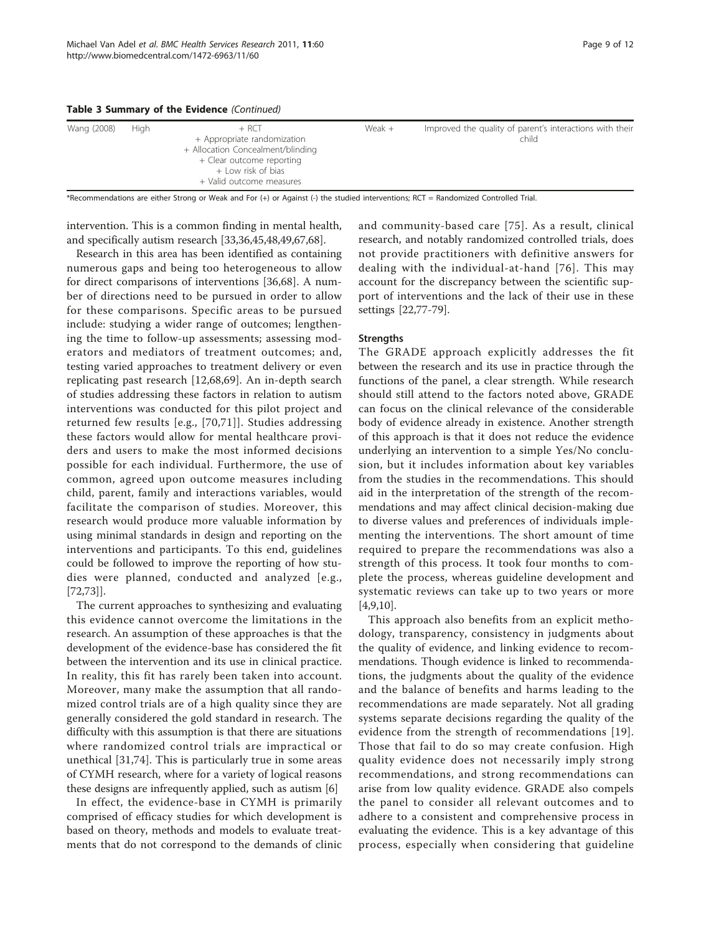Table 3 Summary of the Evidence (Continued)

| Wang (2008) | High | $+$ RCT<br>+ Appropriate randomization<br>+ Allocation Concealment/blinding<br>+ Clear outcome reporting<br>+ Low risk of bias<br>+ Valid outcome measures | Weak $+$ | Improved the quality of parent's interactions with their<br>child |
|-------------|------|------------------------------------------------------------------------------------------------------------------------------------------------------------|----------|-------------------------------------------------------------------|
|             |      |                                                                                                                                                            |          |                                                                   |

\*Recommendations are either Strong or Weak and For (+) or Against (-) the studied interventions; RCT = Randomized Controlled Trial.

intervention. This is a common finding in mental health, and specifically autism research [[33](#page-10-0),[36,45,48](#page-10-0)[,49,67,68\]](#page-11-0).

Research in this area has been identified as containing numerous gaps and being too heterogeneous to allow for direct comparisons of interventions [[36,](#page-10-0)[68\]](#page-11-0). A number of directions need to be pursued in order to allow for these comparisons. Specific areas to be pursued include: studying a wider range of outcomes; lengthening the time to follow-up assessments; assessing moderators and mediators of treatment outcomes; and, testing varied approaches to treatment delivery or even replicating past research [[12,](#page-10-0)[68,69](#page-11-0)]. An in-depth search of studies addressing these factors in relation to autism interventions was conducted for this pilot project and returned few results [e.g., [[70](#page-11-0),[71\]](#page-11-0)]. Studies addressing these factors would allow for mental healthcare providers and users to make the most informed decisions possible for each individual. Furthermore, the use of common, agreed upon outcome measures including child, parent, family and interactions variables, would facilitate the comparison of studies. Moreover, this research would produce more valuable information by using minimal standards in design and reporting on the interventions and participants. To this end, guidelines could be followed to improve the reporting of how studies were planned, conducted and analyzed [e.g., [[72,73\]](#page-11-0)].

The current approaches to synthesizing and evaluating this evidence cannot overcome the limitations in the research. An assumption of these approaches is that the development of the evidence-base has considered the fit between the intervention and its use in clinical practice. In reality, this fit has rarely been taken into account. Moreover, many make the assumption that all randomized control trials are of a high quality since they are generally considered the gold standard in research. The difficulty with this assumption is that there are situations where randomized control trials are impractical or unethical [\[31](#page-10-0),[74\]](#page-11-0). This is particularly true in some areas of CYMH research, where for a variety of logical reasons these designs are infrequently applied, such as autism [\[6](#page-10-0)]

In effect, the evidence-base in CYMH is primarily comprised of efficacy studies for which development is based on theory, methods and models to evaluate treatments that do not correspond to the demands of clinic and community-based care [[75\]](#page-11-0). As a result, clinical research, and notably randomized controlled trials, does not provide practitioners with definitive answers for dealing with the individual-at-hand [[76](#page-11-0)]. This may account for the discrepancy between the scientific support of interventions and the lack of their use in these settings [[22,](#page-10-0)[77-79\]](#page-11-0).

#### **Strengths**

The GRADE approach explicitly addresses the fit between the research and its use in practice through the functions of the panel, a clear strength. While research should still attend to the factors noted above, GRADE can focus on the clinical relevance of the considerable body of evidence already in existence. Another strength of this approach is that it does not reduce the evidence underlying an intervention to a simple Yes/No conclusion, but it includes information about key variables from the studies in the recommendations. This should aid in the interpretation of the strength of the recommendations and may affect clinical decision-making due to diverse values and preferences of individuals implementing the interventions. The short amount of time required to prepare the recommendations was also a strength of this process. It took four months to complete the process, whereas guideline development and systematic reviews can take up to two years or more [[4,9,10\]](#page-10-0).

This approach also benefits from an explicit methodology, transparency, consistency in judgments about the quality of evidence, and linking evidence to recommendations. Though evidence is linked to recommendations, the judgments about the quality of the evidence and the balance of benefits and harms leading to the recommendations are made separately. Not all grading systems separate decisions regarding the quality of the evidence from the strength of recommendations [[19\]](#page-10-0). Those that fail to do so may create confusion. High quality evidence does not necessarily imply strong recommendations, and strong recommendations can arise from low quality evidence. GRADE also compels the panel to consider all relevant outcomes and to adhere to a consistent and comprehensive process in evaluating the evidence. This is a key advantage of this process, especially when considering that guideline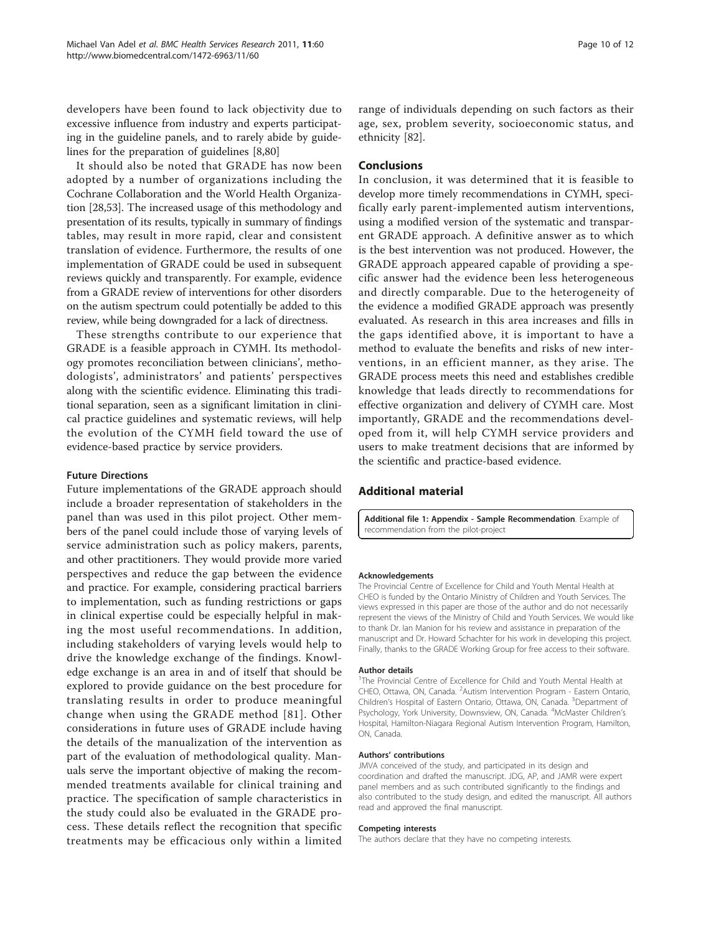<span id="page-9-0"></span>developers have been found to lack objectivity due to excessive influence from industry and experts participating in the guideline panels, and to rarely abide by guidelines for the preparation of guidelines [[8,](#page-10-0)[80\]](#page-11-0)

It should also be noted that GRADE has now been adopted by a number of organizations including the Cochrane Collaboration and the World Health Organization [[28](#page-10-0)[,53](#page-11-0)]. The increased usage of this methodology and presentation of its results, typically in summary of findings tables, may result in more rapid, clear and consistent translation of evidence. Furthermore, the results of one implementation of GRADE could be used in subsequent reviews quickly and transparently. For example, evidence from a GRADE review of interventions for other disorders on the autism spectrum could potentially be added to this review, while being downgraded for a lack of directness.

These strengths contribute to our experience that GRADE is a feasible approach in CYMH. Its methodology promotes reconciliation between clinicians', methodologists', administrators' and patients' perspectives along with the scientific evidence. Eliminating this traditional separation, seen as a significant limitation in clinical practice guidelines and systematic reviews, will help the evolution of the CYMH field toward the use of evidence-based practice by service providers.

#### Future Directions

Future implementations of the GRADE approach should include a broader representation of stakeholders in the panel than was used in this pilot project. Other members of the panel could include those of varying levels of service administration such as policy makers, parents, and other practitioners. They would provide more varied perspectives and reduce the gap between the evidence and practice. For example, considering practical barriers to implementation, such as funding restrictions or gaps in clinical expertise could be especially helpful in making the most useful recommendations. In addition, including stakeholders of varying levels would help to drive the knowledge exchange of the findings. Knowledge exchange is an area in and of itself that should be explored to provide guidance on the best procedure for translating results in order to produce meaningful change when using the GRADE method [[81\]](#page-11-0). Other considerations in future uses of GRADE include having the details of the manualization of the intervention as part of the evaluation of methodological quality. Manuals serve the important objective of making the recommended treatments available for clinical training and practice. The specification of sample characteristics in the study could also be evaluated in the GRADE process. These details reflect the recognition that specific treatments may be efficacious only within a limited

range of individuals depending on such factors as their age, sex, problem severity, socioeconomic status, and ethnicity [\[82](#page-11-0)].

#### Conclusions

In conclusion, it was determined that it is feasible to develop more timely recommendations in CYMH, specifically early parent-implemented autism interventions, using a modified version of the systematic and transparent GRADE approach. A definitive answer as to which is the best intervention was not produced. However, the GRADE approach appeared capable of providing a specific answer had the evidence been less heterogeneous and directly comparable. Due to the heterogeneity of the evidence a modified GRADE approach was presently evaluated. As research in this area increases and fills in the gaps identified above, it is important to have a method to evaluate the benefits and risks of new interventions, in an efficient manner, as they arise. The GRADE process meets this need and establishes credible knowledge that leads directly to recommendations for effective organization and delivery of CYMH care. Most importantly, GRADE and the recommendations developed from it, will help CYMH service providers and users to make treatment decisions that are informed by the scientific and practice-based evidence.

#### Additional material

[Additional file 1: A](http://www.biomedcentral.com/content/supplementary/1472-6963-11-60-S1.DOC)ppendix - Sample Recommendation. Example of recommendation from the pilot-project

#### Acknowledgements

The Provincial Centre of Excellence for Child and Youth Mental Health at CHEO is funded by the Ontario Ministry of Children and Youth Services. The views expressed in this paper are those of the author and do not necessarily represent the views of the Ministry of Child and Youth Services. We would like to thank Dr. Ian Manion for his review and assistance in preparation of the manuscript and Dr. Howard Schachter for his work in developing this project. Finally, thanks to the GRADE Working Group for free access to their software.

#### Author details

<sup>1</sup>The Provincial Centre of Excellence for Child and Youth Mental Health at CHEO, Ottawa, ON, Canada. <sup>2</sup>Autism Intervention Program - Eastern Ontario Children's Hospital of Eastern Ontario, Ottawa, ON, Canada. <sup>3</sup>Department of Psychology, York University, Downsview, ON, Canada. <sup>4</sup>McMaster Children's Hospital, Hamilton-Niagara Regional Autism Intervention Program, Hamilton, ON, Canada.

#### Authors' contributions

JMVA conceived of the study, and participated in its design and coordination and drafted the manuscript. JDG, AP, and JAMR were expert panel members and as such contributed significantly to the findings and also contributed to the study design, and edited the manuscript. All authors read and approved the final manuscript.

#### Competing interests

The authors declare that they have no competing interests.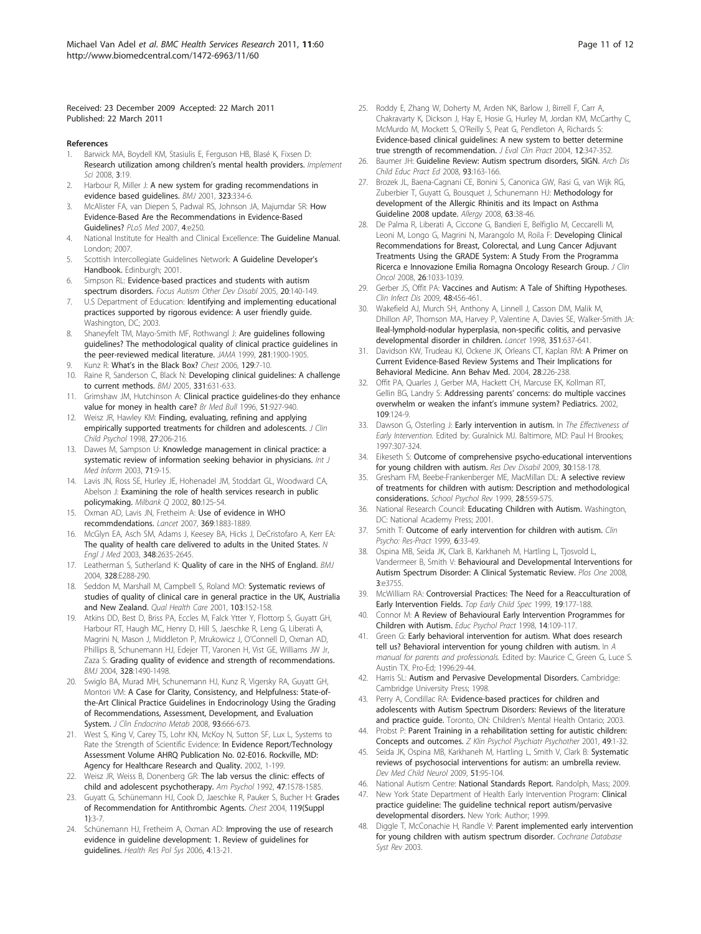<span id="page-10-0"></span>Received: 23 December 2009 Accepted: 22 March 2011 Published: 22 March 2011

#### References

- 1. Barwick MA, Boydell KM, Stasiulis E, Ferguson HB, Blasé K, Fixsen D: [Research utilization among children](http://www.ncbi.nlm.nih.gov/pubmed/18400090?dopt=Abstract)'s mental health providers. Implement Sci 2008, 3:19.
- 2. Harbour R, Miller J: [A new system for grading recommendations in](http://www.ncbi.nlm.nih.gov/pubmed/11498496?dopt=Abstract) [evidence based guidelines.](http://www.ncbi.nlm.nih.gov/pubmed/11498496?dopt=Abstract) BMJ 2001, 323:334-6.
- 3. McAlister FA, van Diepen S, Padwal RS, Johnson JA, Majumdar SR: [How](http://www.ncbi.nlm.nih.gov/pubmed/17683197?dopt=Abstract) [Evidence-Based Are the Recommendations in Evidence-Based](http://www.ncbi.nlm.nih.gov/pubmed/17683197?dopt=Abstract) [Guidelines?](http://www.ncbi.nlm.nih.gov/pubmed/17683197?dopt=Abstract) PLoS Med 2007, 4:e250.
- 4. National Institute for Health and Clinical Excellence: The Guideline Manual. London; 2007.
- 5. Scottish Intercollegiate Guidelines Network: A Guideline Developer's Handbook. Edinburgh; 2001.
- 6. Simpson RL: Evidence-based practices and students with autism spectrum disorders. Focus Autism Other Dev Disabl 2005, 20:140-149.
- 7. U.S Department of Education: Identifying and implementing educational practices supported by rigorous evidence: A user friendly guide. Washington, DC; 2003.
- Shaneyfelt TM, Mayo-Smith MF, Rothwangl J: [Are guidelines following](http://www.ncbi.nlm.nih.gov/pubmed/10349893?dopt=Abstract) [guidelines? The methodological quality of clinical practice guidelines in](http://www.ncbi.nlm.nih.gov/pubmed/10349893?dopt=Abstract) [the peer-reviewed medical literature.](http://www.ncbi.nlm.nih.gov/pubmed/10349893?dopt=Abstract) JAMA 1999, 281:1900-1905.
- Kunz R: What'[s in the Black Box?](http://www.ncbi.nlm.nih.gov/pubmed/16424405?dopt=Abstract) Chest 2006, 129:7-10.
- 10. Raine R, Sanderson C, Black N: [Developing clinical guidelines: A challenge](http://www.ncbi.nlm.nih.gov/pubmed/16166137?dopt=Abstract) [to current methods.](http://www.ncbi.nlm.nih.gov/pubmed/16166137?dopt=Abstract) BMJ 2005, 331:631-633.
- 11. Grimshaw JM, Hutchinson A: Clinical practice guidelines-do they enhance value for money in health care? Br Med Bull 1996, 51:927-940.
- 12. Weisz JR, Hawley KM: [Finding, evaluating, refining and applying](http://www.ncbi.nlm.nih.gov/pubmed/9648037?dopt=Abstract) [empirically supported treatments for children and adolescents.](http://www.ncbi.nlm.nih.gov/pubmed/9648037?dopt=Abstract) J Clin Child Psychol 1998, 27:206-216.
- 13. Dawes M, Sampson U: [Knowledge management in clinical practice: a](http://www.ncbi.nlm.nih.gov/pubmed/12909153?dopt=Abstract) [systematic review of information seeking behavior in physicians.](http://www.ncbi.nlm.nih.gov/pubmed/12909153?dopt=Abstract) Int J Med Inform 2003, 71:9-15.
- 14. Lavis JN, Ross SE, Hurley JE, Hohenadel JM, Stoddart GL, Woodward CA, Abelson J: [Examining the role of health services research in public](http://www.ncbi.nlm.nih.gov/pubmed/11933791?dopt=Abstract) [policymaking.](http://www.ncbi.nlm.nih.gov/pubmed/11933791?dopt=Abstract) Milbank Q 2002, 80:125-54.
- 15. Oxman AD, Lavis JN, Fretheim A: [Use of evidence in WHO](http://www.ncbi.nlm.nih.gov/pubmed/17493676?dopt=Abstract) [recommdendations.](http://www.ncbi.nlm.nih.gov/pubmed/17493676?dopt=Abstract) Lancet 2007, 369:1883-1889.
- 16. McGlyn EA, Asch SM, Adams J, Keesey BA, Hicks J, DeCristofaro A, Kerr EA: [The quality of health care delivered to adults in the United States.](http://www.ncbi.nlm.nih.gov/pubmed/12826639?dopt=Abstract) N Engl J Med 2003, 348:2635-2645.
- 17. Leatherman S, Sutherland K: [Quality of care in the NHS of England.](http://www.ncbi.nlm.nih.gov/pubmed/15087367?dopt=Abstract) BMJ 2004, 328:E288-290.
- 18. Seddon M, Marshall M, Campbell S, Roland MO: Systematic reviews of studies of quality of clinical care in general practice in the UK, Austrialia and New Zealand. Qual Health Care 2001, 103:152-158.
- 19. Atkins DD, Best D, Briss PA, Eccles M, Falck Ytter Y, Flottorp S, Guyatt GH, Harbour RT, Haugh MC, Henry D, Hill S, Jaeschke R, Leng G, Liberati A, Magrini N, Mason J, Middleton P, Mrukowicz J, O'Connell D, Oxman AD, Phillips B, Schunemann HJ, Edejer TT, Varonen H, Vist GE, Williams JW Jr, Zaza S: [Grading quality of evidence and strength of recommendations.](http://www.ncbi.nlm.nih.gov/pubmed/15205295?dopt=Abstract) BMJ 2004, 328:1490-1498.
- 20. Swiglo BA, Murad MH, Schunemann HJ, Kunz R, Vigersky RA, Guyatt GH, Montori VM: A Case for Clarity, Consistency, and Helpfulness: State-ofthe-Art Clinical Practice Guidelines in Endocrinology Using the Grading of Recommendations, Assessment, Development, and Evaluation System. J Clin Endocrino Metab 2008, 93:666-673.
- 21. West S, King V, Carey TS, Lohr KN, McKoy N, Sutton SF, Lux L, Systems to Rate the Strength of Scientific Evidence: [In Evidence Report/Technology](http://www.ncbi.nlm.nih.gov/pubmed/11979732?dopt=Abstract) [Assessment Volume AHRQ Publication No. 02-E016. Rockville, MD:](http://www.ncbi.nlm.nih.gov/pubmed/11979732?dopt=Abstract) [Agency for Healthcare Research and Quality.](http://www.ncbi.nlm.nih.gov/pubmed/11979732?dopt=Abstract) 2002, 1-199.
- 22. Weisz JR, Weiss B, Donenberg GR: [The lab versus the clinic: effects of](http://www.ncbi.nlm.nih.gov/pubmed/1476328?dopt=Abstract) [child and adolescent psychotherapy.](http://www.ncbi.nlm.nih.gov/pubmed/1476328?dopt=Abstract) Am Psychol 1992, 47:1578-1585.
- 23. Guyatt G, Schünemann HJ, Cook D, Jaeschke R, Pauker S, Bucher H: Grades of Recommendation for Antithrombic Agents. Chest 2004, 119(Suppl 1):3-7.
- 24. Schünemann HJ, Fretheim A, Oxman AD: Improving the use of research evidence in guideline development: 1. Review of guidelines for guidelines. Health Res Pol Sys 2006, 4:13-21.
- 25. Roddy E, Zhang W, Doherty M, Arden NK, Barlow J, Birrell F, Carr A, Chakravarty K, Dickson J, Hay E, Hosie G, Hurley M, Jordan KM, McCarthy C, McMurdo M, Mockett S, O'Reilly S, Peat G, Pendleton A, Richards S: Evidence-based clinical guidelines: A new system to better determine true strength of recommendation. *J Fyal Clin Pract 2004*, 12:347-352.
- 26. Baumer JH: [Guideline Review: Autism spectrum disorders, SIGN.](http://www.ncbi.nlm.nih.gov/pubmed/18809695?dopt=Abstract) Arch Dis Child Educ Pract Ed 2008, 93:163-166.
- 27. Brozek JL, Baena-Cagnani CE, Bonini S, Canonica GW, Rasi G, van Wijk RG, Zuberbier T, Guyatt G, Bousquet J, Schunemann HJ: [Methodology for](http://www.ncbi.nlm.nih.gov/pubmed/18053015?dopt=Abstract) [development of the Allergic Rhinitis and its Impact on Asthma](http://www.ncbi.nlm.nih.gov/pubmed/18053015?dopt=Abstract) [Guideline 2008 update.](http://www.ncbi.nlm.nih.gov/pubmed/18053015?dopt=Abstract) Allergy 2008, 63:38-46.
- 28. De Palma R, Liberati A, Ciccone G, Bandieri E, Belfiglio M, Ceccarelli M, Leoni M, Longo G, Magrini N, Marangolo M, Roila F: [Developing Clinical](http://www.ncbi.nlm.nih.gov/pubmed/18309939?dopt=Abstract) [Recommendations for Breast, Colorectal, and Lung Cancer Adjuvant](http://www.ncbi.nlm.nih.gov/pubmed/18309939?dopt=Abstract) [Treatments Using the GRADE System: A Study From the Programma](http://www.ncbi.nlm.nih.gov/pubmed/18309939?dopt=Abstract) [Ricerca e Innovazione Emilia Romagna Oncology Research Group.](http://www.ncbi.nlm.nih.gov/pubmed/18309939?dopt=Abstract) J Clin Oncol 2008, 26:1033-1039.
- 29. Gerber JS, Offit PA: [Vaccines and Autism: A Tale of Shifting Hypotheses.](http://www.ncbi.nlm.nih.gov/pubmed/19128068?dopt=Abstract) Clin Infect Dis 2009, 48:456-461.
- 30. Wakefield AJ, Murch SH, Anthony A, Linnell J, Casson DM, Malik M, Dhillon AP, Thomson MA, Harvey P, Valentine A, Davies SE, Walker-Smith JA: [Ileal-lymphold-nodular hyperplasia, non-specific colitis, and pervasive](http://www.ncbi.nlm.nih.gov/pubmed/9500320?dopt=Abstract) [developmental disorder in children.](http://www.ncbi.nlm.nih.gov/pubmed/9500320?dopt=Abstract) Lancet 1998, 351:637-641.
- 31. Davidson KW, Trudeau KJ, Ockene JK, Orleans CT, Kaplan RM: [A Primer on](http://www.ncbi.nlm.nih.gov/pubmed/15576261?dopt=Abstract) [Current Evidence-Based Review Systems and Their Implications for](http://www.ncbi.nlm.nih.gov/pubmed/15576261?dopt=Abstract) [Behavioral Medicine. Ann Behav Med.](http://www.ncbi.nlm.nih.gov/pubmed/15576261?dopt=Abstract) 2004, 28:226-238.
- 32. Offit PA, Quarles J, Gerber MA, Hackett CH, Marcuse EK, Kollman RT, Gellin BG, Landry S: Addressing parents' [concerns: do multiple vaccines](http://www.ncbi.nlm.nih.gov/pubmed/11773551?dopt=Abstract) [overwhelm or weaken the infant](http://www.ncbi.nlm.nih.gov/pubmed/11773551?dopt=Abstract)'s immune system? Pediatrics. 2002, 109:124-9.
- 33. Dawson G, Osterling J: Early intervention in autism. In The Effectiveness of Early Intervention. Edited by: Guralnick MJ. Baltimore, MD: Paul H Brookes; 1997:307-324.
- 34. Eikeseth S: [Outcome of comprehensive psycho-educational interventions](http://www.ncbi.nlm.nih.gov/pubmed/18385012?dopt=Abstract) [for young children with autism.](http://www.ncbi.nlm.nih.gov/pubmed/18385012?dopt=Abstract) Res Dev Disabil 2009, 30:158-178.
- Gresham FM, Beebe-Frankenberger ME, MacMillan DL: A selective review of treatments for children with autism: Description and methodological considerations. School Psychol Rev 1999, 28:559-575.
- 36. National Research Council: Educating Children with Autism. Washington, DC: National Academy Press; 2001.
- 37. Smith T: Outcome of early intervention for children with autism. Clin Psycho: Res-Pract 1999, 6:33-49.
- 38. Ospina MB, Seida JK, Clark B, Karkhaneh M, Hartling L, Tjosvold L, Vandermeer B, Smith V: [Behavioural and Developmental Interventions for](http://www.ncbi.nlm.nih.gov/pubmed/19015734?dopt=Abstract) [Autism Spectrum Disorder: A Clinical Systematic Review.](http://www.ncbi.nlm.nih.gov/pubmed/19015734?dopt=Abstract) Plos One 2008, 3:e3755.
- 39. McWilliam RA: Controversial Practices: The Need for a Reacculturation of Early Intervention Fields. Top Early Child Spec 1999, 19:177-188.
- 40. Connor M: A Review of Behavioural Early Intervention Programmes for Children with Autism. Educ Psychol Pract 1998, 14:109-117.
- 41. Green G: Early behavioral intervention for autism. What does research tell us? Behavioral intervention for young children with autism. In A manual for parents and professionals. Edited by: Maurice C, Green G, Luce S. Austin TX. Pro-Ed; 1996:29-44.
- 42. Harris SL: Autism and Pervasive Developmental Disorders. Cambridge: Cambridge University Press; 1998.
- 43. Perry A, Condillac RA: Evidence-based practices for children and adolescents with Autism Spectrum Disorders: Reviews of the literature and practice guide. Toronto, ON: Children's Mental Health Ontario; 2003.
- 44. Probst P: Parent Training in a rehabilitation setting for autistic children: Concepts and outcomes. Z Klin Psychol Psychiatr Psychother 2001, 49:1-32.
- 45. Seida JK, Ospina MB, Karkhaneh M, Hartling L, Smith V, Clark B: [Systematic](http://www.ncbi.nlm.nih.gov/pubmed/19191842?dopt=Abstract) [reviews of psychosocial interventions for autism: an umbrella review.](http://www.ncbi.nlm.nih.gov/pubmed/19191842?dopt=Abstract) Dev Med Child Neurol 2009, 51:95-104.
- 46. National Autism Centre: National Standards Report. Randolph, Mass; 2009.
- 47. New York State Department of Health Early Intervention Program: Clinical practice guideline: The guideline technical report autism/pervasive developmental disorders. New York: Author; 1999.
- 48. Diggle T, McConachie H, Randle V: [Parent implemented early intervention](http://www.ncbi.nlm.nih.gov/pubmed/12535477?dopt=Abstract) [for young children with autism spectrum disorder.](http://www.ncbi.nlm.nih.gov/pubmed/12535477?dopt=Abstract) Cochrane Database Syst Rev 2003.